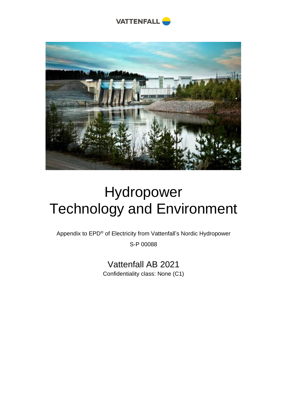



# Hydropower Technology and Environment

Appendix to EPD® of Electricity from Vattenfall's Nordic Hydropower

S-P 00088

Vattenfall AB 2021 Confidentiality class: None (C1)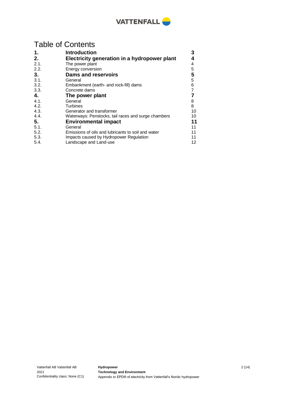

## Table of Contents

| 1.   | <b>Introduction</b>                                 | 3  |
|------|-----------------------------------------------------|----|
| 2.   | Electricity generation in a hydropower plant        | 4  |
| 2.1. | The power plant                                     | 4  |
| 2.2. | Energy conversion                                   | 5  |
| 3.   | <b>Dams and reservoirs</b>                          | 5  |
| 3.1. | General                                             | 5  |
| 3.2. | Embankment (earth- and rock-fill) dams              | 6  |
| 3.3. | Concrete dams                                       | 7  |
| 4.   | The power plant                                     |    |
| 4.1. | General                                             | 8  |
| 4.2. | <b>Turbines</b>                                     | 8  |
| 4.3. | Generator and transformer                           | 10 |
| 4.4. | Waterways: Penstocks, tail races and surge chambers | 10 |
| 5.   | <b>Environmental impact</b>                         | 11 |
| 5.1. | General                                             | 11 |
| 5.2. | Emissions of oils and lubricants to soil and water  | 11 |
| 5.3. | Impacts caused by Hydropower Regulation             | 11 |
| 5.4. | Landscape and Land-use                              | 12 |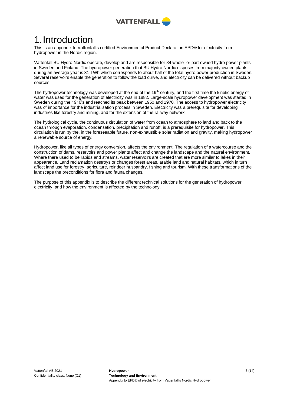

## <span id="page-2-0"></span>1.Introduction

This is an appendix to Vattenfall's certified Environmental Product Declaration EPD® for electricity from hydropower in the Nordic region.

Vattenfall BU Hydro Nordic operate, develop and are responsible for 84 whole- or part owned hydro power plants in Sweden and Finland. The hydropower generation that BU Hydro Nordic disposes from majority owned plants during an average year is 31 TWh which corresponds to about half of the total hydro power production in Sweden. Several reservoirs enable the generation to follow the load curve, and electricity can be delivered without backup sources.

The hydropower technology was developed at the end of the 19<sup>th</sup> century, and the first time the kinetic energy of water was used for the generation of electricity was in 1882. Large-scale hydropower development was started in Sweden during the 1910's and reached its peak between 1950 and 1970. The access to hydropower electricity was of importance for the industrialisation process in Sweden. Electricity was a prerequisite for developing industries like forestry and mining, and for the extension of the railway network.

The hydrological cycle, the continuous circulation of water from ocean to atmosphere to land and back to the ocean through evaporation, condensation, precipitation and runoff, is a prerequisite for hydropower. This circulation is run by the, in the foreseeable future, non-exhaustible solar radiation and gravity, making hydropower a renewable source of energy.

Hydropower, like all types of energy conversion, affects the environment. The regulation of a watercourse and the construction of dams, reservoirs and power plants affect and change the landscape and the natural environment. Where there used to be rapids and streams, water reservoirs are created that are more similar to lakes in their appearance. Land reclamation destroys or changes forest areas, arable land and natural habitats, which in turn affect land use for forestry, agriculture, reindeer husbandry, fishing and tourism. With these transformations of the landscape the preconditions for flora and fauna changes.

The purpose of this appendix is to describe the different technical solutions for the generation of hydropower electricity, and how the environment is affected by the technology.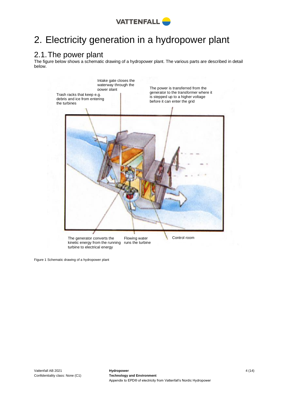

## <span id="page-3-0"></span>2. Electricity generation in a hydropower plant

## <span id="page-3-1"></span>2.1.The power plant

The figure below shows a schematic drawing of a hydropower plant. The various parts are described in detail below.



Figure 1 Schematic drawing of a hydropower plant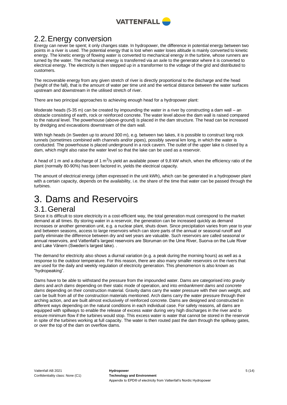

## <span id="page-4-0"></span>2.2.Energy conversion

Energy can never be spent; it only changes state. In hydropower, the difference in potential energy between two points in a river is used. The potential energy that is lost when water loses altitude is mainly converted to kinetic energy. The kinetic energy of flowing water is converted to mechanical energy in the turbine, whose runners are turned by the water. The mechanical energy is transferred via an axle to the generator where it is converted to electrical energy. The electricity is then stepped up in a transformer to the voltage of the grid and distributed to customers.

The recoverable energy from any given stretch of river is directly proportional to the discharge and the head (height of the fall), that is the amount of water per time unit and the vertical distance between the water surfaces upstream and downstream in the utilised stretch of river.

There are two principal approaches to achieving enough head for a hydropower plant:

Moderate heads (5-35 m) can be created by impounding the water in a river by constructing a dam wall – an obstacle consisting of earth, rock or reinforced concrete. The water level above the dam wall is raised compared to the natural level. The powerhouse (above-ground) is placed in the dam structure. The head can be increased by dredging and excavations downstream of the dam wall.

With high heads (in Sweden up to around 300 m), e.g. between two lakes, it is possible to construct long rock tunnels (sometimes combined with channels and/or pipes), possibly several km long, in which the water is conducted. The powerhouse is placed underground in a rock cavern. The outlet of the upper lake is closed by a dam, which might also raise the water level so that the lake can be used as a reservoir.

A head of 1 m and a discharge of 1 m<sup>3</sup>/s yield an available power of 9,8 kW which, when the efficiency ratio of the plant (normally 80-90%) has been factored in, yields the electrical capacity.

The amount of electrical energy (often expressed in the unit kWh), which can be generated in a hydropower plant with a certain capacity, depends on the availability, i.e. the share of the time that water can be passed through the turbines.

## <span id="page-4-1"></span>3. Dams and Reservoirs

### <span id="page-4-2"></span>3.1.General

Since it is difficult to store electricity in a cost-efficient way, the total generation must correspond to the market demand at all times. By storing water in a reservoir, the generation can be increased quickly as demand increases or another generation unit, e.g. a nuclear plant, shuts down. Since precipitation varies from year to year and between seasons, access to large reservoirs which can store parts of the annual or seasonal runoff and partly eliminate the difference between dry and wet years are valuable. Such reservoirs are called seasonal or annual reservoirs, and Vattenfall's largest reservoirs are Storuman on the Ume River, Suorva on the Lule River and Lake Vänern (Sweden's largest lake)...

The demand for electricity also shows a diurnal variation (e.g. a peak during the morning hours) as well as a response to the outdoor temperature. For this reason, there are also many smaller reservoirs on the rivers that are used for the daily and weekly regulation of electricity generation. This phenomenon is also known as "hydropeaking".

Dams have to be able to withstand the pressure from the impounded water. Dams are categorised into *gravity dams* and *arch dams* depending on their static mode of operation, and into *embankment dams* and *concrete dams* depending on their construction material. Gravity dams carry the water pressure with their own weight, and can be built from all of the construction materials mentioned. Arch dams carry the water pressure through their arching action, and are built almost exclusively of reinforced concrete. Dams are designed and constructed in different ways depending on the natural conditions in each individual case. For safety reasons, all dams are equipped with spillways to enable the release of excess water during very high discharges in the river and to ensure minimum flow if the turbines would stop. This excess water is water that cannot be stored in the reservoir in spite of the turbines working at full capacity. The water is then routed past the dam through the spillway gates, or over the top of the dam on overflow dams.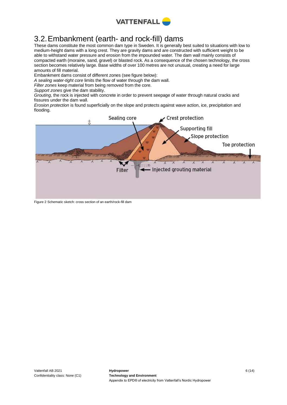

## <span id="page-5-0"></span>3.2.Embankment (earth- and rock-fill) dams

These dams constitute the most common dam type in Sweden. It is generally best suited to situations with low to medium-height dams with a long crest. They are gravity dams and are constructed with sufficient weight to be able to withstand water pressure and erosion from the impounded water. The dam wall mainly consists of compacted earth (moraine, sand, gravel) or blasted rock. As a consequence of the chosen technology, the cross section becomes relatively large. Base widths of over 100 metres are not unusual, creating a need for large amounts of fill material.

Embankment dams consist of different zones (see figure below):

*A sealing water-tight core* limits the flow of water through the dam wall.

*Filter zones* keep material from being removed from the core.

*Support zones* give the dam stability.

*Grouting*, the rock is injected with concrete in order to prevent seepage of water through natural cracks and fissures under the dam wall.

*Erosion protection* is found superficially on the slope and protects against wave action, ice, precipitation and flooding.



Figure 2 Schematic sketch: cross section of an earth/rock-fill dam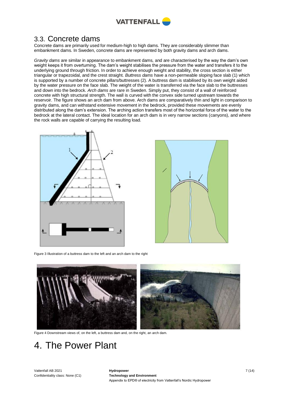

### <span id="page-6-0"></span>3.3. Concrete dams

Concrete dams are primarily used for medium-high to high dams. They are considerably slimmer than embankment dams. In Sweden, concrete dams are represented by both gravity dams and arch dams.

*Gravity dams* are similar in appearance to embankment dams, and are characterised by the way the dam's own weight keeps it from overturning. The dam's weight stabilises the pressure from the water and transfers it to the underlying ground through friction. In order to achieve enough weight and stability, the cross section is either triangular or trapezoidal, and the crest straight. *Buttress dams* have a non-permeable sloping face slab (1) which is supported by a number of concrete pillars/buttresses (2). A buttress dam is stabilised by its own weight aided by the water pressure on the face slab. The weight of the water is transferred via the face slab to the buttresses and down into the bedrock. *Arch dams* are rare in Sweden. Simply put, they consist of a wall of reinforced concrete with high structural strength. The wall is curved with the convex side turned upstream towards the reservoir. The figure shows an arch dam from above. Arch dams are comparatively thin and light in comparison to gravity dams, and can withstand extensive movement in the bedrock, provided these movements are evenly distributed along the dam's extension. The arching action transfers most of the horizontal force of the water to the bedrock at the lateral contact. The ideal location for an arch dam is in very narrow sections (canyons), and where the rock walls are capable of carrying the resulting load.





Figure 3 Illustration of a buttress dam to the left and an arch dam to the right



Figure 4 Downstream views of, on the left, a buttress dam and, on the right, an arch dam.

## <span id="page-6-1"></span>4. The Power Plant

Vattenfall AB 2021 Confidentiality class: None (C1)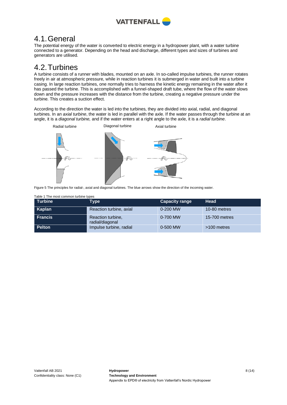

## <span id="page-7-0"></span>4.1.General

The potential energy of the water is converted to electric energy in a hydropower plant, with a water turbine connected to a generator. Depending on the head and discharge, different types and sizes of turbines and generators are utilised.

## <span id="page-7-1"></span>4.2.Turbines

A turbine consists of a runner with blades, mounted on an axle. In so-called impulse turbines, the runner rotates freely in air at atmospheric pressure, while in reaction turbines it is submerged in water and built into a turbine casing. In large reaction turbines, one normally tries to harness the kinetic energy remaining in the water after it has passed the turbine. This is accomplished with a funnel-shaped draft tube, where the flow of the water slows down and the pressure increases with the distance from the turbine, creating a negative pressure under the turbine. This creates a suction effect.

According to the direction the water is led into the turbines, they are divided into axial, radial, and diagonal turbines. In an *axial turbine*, the water is led in parallel with the axle. If the water passes through the turbine at an angle, it is a *diagonal turbine,* and if the water enters at a right angle to the axle, it is a *radial turbine*.



Figure 5 The principles for radial-, axial and diagonal turbines. The blue arrows show the direction of the incoming water.

| Table 1 The most common turbine types |                                      |                       |               |  |  |
|---------------------------------------|--------------------------------------|-----------------------|---------------|--|--|
| Turbine                               | Type                                 | <b>Capacity range</b> | Head          |  |  |
| Kaplan                                | Reaction turbine, axial              | 0-200 MW              | 10-80 metres  |  |  |
| <b>Francis</b>                        | Reaction turbine.<br>radial/diagonal | 0-700 MW              | 15-700 metres |  |  |
| <b>Pelton</b>                         | Impulse turbine, radial              | 0-500 MW              | >100 metres   |  |  |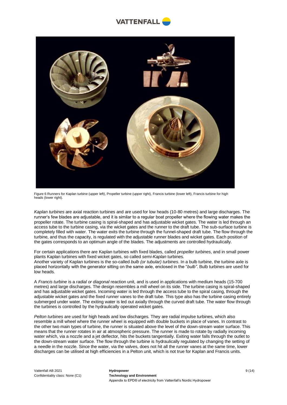



Figure 6 Runners for Kaplan turbine (upper left), Propeller turbine (upper right), Francis turbine (lower left), Francis turbine for high heads (lower right).

*Kaplan turbines* are axial reaction turbines and are used for low heads (10-80 metres) and large discharges. The runner's few blades are adjustable, and it is similar to a regular boat propeller where the flowing water makes the propeller rotate. The turbine casing is spiral-shaped and has adjustable wicket gates. The water is led through an access tube to the turbine casing, via the wicket gates and the runner to the draft tube. The sub-surface turbine is completely filled with water. The water exits the turbine through the funnel-shaped draft tube. The flow through the turbine, and thus the capacity, is regulated with the adjustable runner blades and wicket gates. Each position of the gates corresponds to an optimum angle of the blades. The adjustments are controlled hydraulically.

For certain applications there are Kaplan turbines with fixed blades, called *propeller turbines*, and in small power plants Kaplan turbines with fixed wicket gates, so called *semi-Kaplan* turbines. Another variety of Kaplan turbines is the so-called *bulb (or tubular) turbines*. In a bulb turbine, the turbine axle is placed horizontally with the generator sitting on the same axle, enclosed in the "*bulb"*. Bulb turbines are used for low heads.

A *Francis turbine* is a *radial or diagonal* reaction unit, and is used in applications with medium heads (15-700 metres) and large discharges. The design resembles a mill wheel on its side. The turbine casing is spiral-shaped and has adjustable wicket gates. Incoming water is led through the access tube to the spiral casing, through the adjustable wicket gates and the fixed runner vanes to the draft tube. This type also has the turbine casing entirely submerged under water. The exiting water is led out axially through the curved draft tube. The water flow through the turbines is controlled by the hydraulically operated wicket gates.

*Pelton turbines* are used for high heads and low discharges. They are radial impulse turbines, which also resemble a mill wheel where the runner wheel is equipped with double buckets in place of vanes. In contrast to the other two main types of turbine, the runner is situated above the level of the down-stream water surface. This means that the runner rotates in air at atmospheric pressure. The runner is made to rotate by radially incoming water which, via a nozzle and a jet deflector, hits the buckets tangentially. Exiting water falls through the outlet to the down-stream water surface. The flow through the turbine is hydraulically regulated by changing the setting of a needle in the nozzle. Since the water, via the valves, does not hit all the runner vanes at the same time, lower discharges can be utilised at high efficiencies in a Pelton unit, which is not true for Kaplan and Francis units.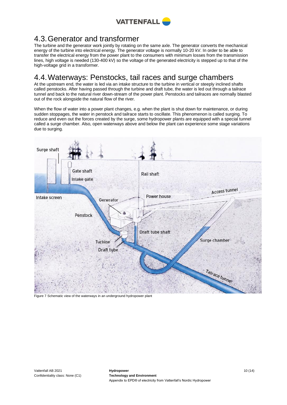

## <span id="page-9-0"></span>4.3.Generator and transformer

The turbine and the generator work jointly by rotating on the same axle. The generator converts the mechanical energy of the turbine into electrical energy. The generator voltage is normally 10-20 kV. In order to be able to transfer the electrical energy from the power plant to the consumers with minimum losses from the transmission lines, high voltage is needed (130-400 kV) so the voltage of the generated electricity is stepped up to that of the high-voltage grid in a transformer.

## <span id="page-9-1"></span>4.4.Waterways: Penstocks, tail races and surge chambers

At the upstream end, the water is led via an intake structure to the turbine in vertical or steeply inclined shafts called penstocks. After having passed through the turbine and draft tube, the water is led out through a tailrace tunnel and back to the natural river down-stream of the power plant. Penstocks and tailraces are normally blasted out of the rock alongside the natural flow of the river.

When the flow of water into a power plant changes, e.g. when the plant is shut down for maintenance, or during sudden stoppages, the water in penstock and tailrace starts to oscillate. This phenomenon is called surging. To reduce and even out the forces created by the surge, some hydropower plants are equipped with a special tunnel called a surge chamber. Also, open waterways above and below the plant can experience some stage variations due to surging.



Figure 7 Schematic view of the waterways in an underground hydropower plant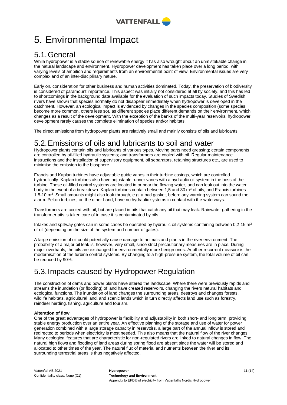

## <span id="page-10-0"></span>5. Environmental Impact

## <span id="page-10-1"></span>5.1.General

While hydropower is a stable source of renewable energy it has also wrought about an unmistakable change in the natural landscape and environment. Hydropower development has taken place over a long period, with varying levels of ambition and requirements from an environmental point of view. Environmental issues are very complex and of an inter-disciplinary nature.

Early on, consideration for other business and human activities dominated. Today, the preservation of biodiversity is considered of paramount importance. This aspect was initially not considered at all by society, and this has led to shortcomings in the background data available for the evaluation of such impacts today. Studies of Swedish rivers have shown that species normally do not disappear immediately when hydropower is developed in the catchment. However, an ecological impact is evidenced by changes in the species composition (some species become more common, others less so), as different species place different demands on their environment, which changes as a result of the development. With the exception of the banks of the multi-year reservoirs, hydropower development rarely causes the complete elimination of species and/or habitats.

The direct emissions from hydropower plants are relatively small and mainly consists of oils and lubricants.

## <span id="page-10-2"></span>5.2.Emissions of oils and lubricants to soil and water

Hydropower plants contain oils and lubricants of various types. Moving parts need greasing; certain components are controlled by oil-filled hydraulic systems; and transformers are cooled with oil. Regular maintenance instructions and the installation of supervisory equipment, oil separators, retaining structures etc., are used to minimise the emission to the biosphere.

Francis and Kaplan turbines have adjustable guide vanes in their turbine casings, which are controlled hydraulically. Kaplan turbines also have adjustable runner vanes with a hydraulic oil system in the boss of the turbine. These oil-filled control systems are located in or near the flowing water, and can leak out into the water body in the event of a breakdown. Kaplan turbines contain between 1,5 and 30  $\text{m}^3$  of oils, and Francis turbines 1,5-10 m<sup>3</sup>. Small amounts might also leak through, e.g. a bad gasket, before any warning system can sound the alarm. Pelton turbines, on the other hand, have no hydraulic systems in contact with the waterways.

Transformers are cooled with oil, but are placed in pits that catch any oil that may leak. Rainwater gathering in the transformer pits is taken care of in case it is contaminated by oils.

Intakes and spillway gates can in some cases be operated by hydraulic oil systems containing between 0,2-15  $m<sup>3</sup>$ of oil (depending on the size of the system and number of gates).

A large emission of oil could potentially cause damage to animals and plants in the river environment. The probability of a major oil leak is, however, very small, since strict precautionary measures are in place. During major overhauls, the oils are exchanged for environmentally more benign ones. Another recurrent measure is the modernisation of the turbine control systems. By changing to a high-pressure system, the total volume of oil can be reduced by 90%.

## <span id="page-10-3"></span>5.3.Impacts caused by Hydropower Regulation

The construction of dams and power plants have altered the landscape. Where there were previously rapids and streams the inundation (or flooding) of land have created reservoirs, changing the rivers natural habitats and ecological functions. The inundation of land changes the surrounding areas, destroys and changes forests, wildlife habitats, agricultural land, and scenic lands which in turn directly affects land use such as forestry, reindeer herding, fishing, agriculture and tourism.

### **Alteration of flow**

One of the great advantages of hydropower is flexibility and adjustability in both short- and long term, providing stable energy production over an entire year. An effective planning of the storage and use of water for power generation combined with a large storage capacity in reservoirs, a large part of the annual inflow is stored and redirected to periods when electricity is most needed. This also means that the natural flow of the river changes. Many ecological features that are characteristic for non-regulated rivers are linked to natural changes in flow. The natural high flows and flooding of land areas during spring flood are absent since the water will be stored and allocated to other times of the year. The natural flux of material and nutrients between the river and its surrounding terrestrial areas is thus negatively affected.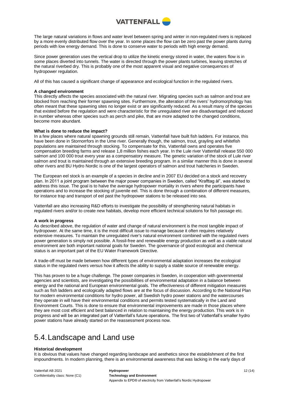

The large natural variations in flows and water level between spring and winter in non-regulated rivers is replaced by a more evenly distributed flow over the year. In some places the flow can be zero past the power plants during periods with low energy demand. This is done to conserve water to periods with high energy demand.

Since power generation uses the vertical drop to utilize the kinetic energy stored in water, the waters flow is in some places diverted into tunnels. The water is directed through the power plants turbines, leaving stretches of the natural riverbed dry. This is probably one of the most apparent visual and negative consequences of hydropower regulation.

All of this has caused a significant change of appearance and ecological function in the regulated rivers.

### **A changed environment**

This directly affects the species associated with the natural river. Migrating species such as salmon and trout are blocked from reaching their former spawning sites. Furthermore, the alteration of the rivers' hydromorphology has often meant that these spawning sites no longer exist or are significantly reduced. As a result many of the species that existed before the regulation and were characteristic for the unregulated river are disadvantaged and reduced in number whereas other species such as perch and pike, that are more adapted to the changed conditions, become more abundant.

### **What is done to reduce the impact?**

In a few places where natural spawning grounds still remain, Vattenfall have built fish ladders. For instance, this have been done in Stornorrfors in the Ume river. Generally though, the salmon, trout, grayling and whitefish populations are maintained through stocking. To compensate for this, Vattenfall owns and operates five compensation breeding farms and release 1,8 million fishes each year. In the Lule river Vattenfall release 550 000 salmon and 100 000 trout every year as a compensatory measure. The genetic variation of the stock of Lule river salmon and trout is maintained through an extensive breeding program. In a similar manner this is done in several other rivers and BU Hydro Nordic is one of the largest operators of salmon and trout hatcheries in Sweden.

The European eel stock is an example of a species in decline and in 2007 EU decided on a stock and recovery plan. In 2011 a joint program between the major power companies in Sweden, called "Krafttag ål", was started to address this issue. The goal is to halve the average hydropower mortality in rivers where the participants have operations and to increase the stocking of juvenile eel. This is done through a combination of different measures, for instance trap and transport of eel past the hydropower stations to be released into sea.

Vattenfall are also increasing R&D efforts to investigate the possibility of strengthening natural habitats in regulated rivers and/or to create new habitats, develop more efficient technical solutions for fish passage etc.

#### **A work in progress**

As described above, the regulation of water and change of natural environment is the most tangible impact of hydropower. At the same time, it is the most difficult issue to manage because it often requires relatively extensive measures. To maintain the unregulated river's natural environment combined with the regulated rivers power generation is simply not possible. A fossil-free and renewable energy production as well as a viable natural environment are both important national goals for Sweden. The governance of good ecological and chemical status is an important part of the EU Water Framework Directive.

A trade-off must be made between how different types of environmental adaptation increases the ecological status in the regulated rivers versus how it affects the ability to supply a stable source of renewable energy.

This has proven to be a huge challenge. The power companies in Sweden, in cooperation with governmental agencies and scientists, are investigating the possibilities of environmental adaptation in a balance between energy and the national and European environmental goals. The effectiveness of different mitigation measures such as fish ladders and ecologically adapted flows are at the focus of discussion. According to the National Plan for modern environmental conditions for hydro power, all Swedish hydro power stations and the watercourses they operate in will have their environmental conditions and permits tested systematically in the Land and Environment Courts. This is done to ensure that environmental improvements are made in those places where they are most cost efficient and best balanced in relation to maintaining the energy production. This work is in progress and will be an integrated part of Vattenfall's future operations. The first two of Vattenfall's smaller hydro power stations have already started on the reassessment process now.

## <span id="page-11-0"></span>5.4.Landscape and Land use

#### **Historical development**

It is obvious that values have changed regarding landscape and aesthetics since the establishment of the first impoundments. In modern planning, there is an environmental awareness that was lacking in the early days of

| Vattenfall AB 2021               | Hydropower                                                          |  |  |
|----------------------------------|---------------------------------------------------------------------|--|--|
| Confidentiality class: None (C1) | <b>Technology and Environment</b>                                   |  |  |
|                                  | Appendix to EPD® of electricity from Vattenfall's Nordic Hydropower |  |  |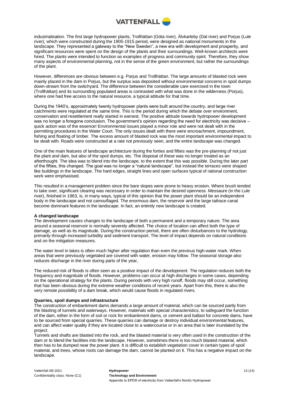

industrialisation. The first large hydropower plants, Trollhättan (Göta river), Älvkarleby (Dal river) and Porjus (Lule river), which were constructed during the 1905-1915 period, were designed as national monuments in the landscape. They represented a gateway to the "New Sweden", a new era with development and prosperity, and significant resources were spent on the design of the plants and their surroundings. Well-known architects were hired. The plants were intended to function as examples of progress and community spirit. Therefore, they show many aspects of environmental planning, not in the sense of the green environment, but rather the surroundings of the plant.

However, differences are obvious between e.g. Porjus and Trollhättan. The large amounts of blasted rock were mainly placed in the dam in Porjus, but the surplus was deposited without environmental concerns in spoil dumps down-stream from the switchyard. The difference between the considerable care exercised in the town (Trollhättan) and its surrounding populated areas is contrasted with what was done in the wilderness (Porjus), where one had free access to the natural resource, a typical attitude for that time.

During the 1940's, approximately twenty hydropower plants were built around the country, and large river catchments were regulated at the same time. This is the period during which the debate over environment, conservation and resettlement really started in earnest. The positive attitude towards hydropower development was no longer a foregone conclusion. The government's opinion regarding the need for electricity was decisive quick action was of the essence! Environmental issues played a minor role and were not dealt with in the permitting procedures in the Water Court. The only issues dealt with there were encroachment, impoundment, fishing and floating of timber. The excess amount of blasted rock was the most important environmental impact to be dealt with. Roads were constructed at a rate not previously seen, and the entire landscape was changed.

One of the main features of landscape architecture during the forties and fifties was the pre-planning of not just the plant and dam, but also of the spoil dumps, etc. The disposal of these was no longer treated as an afterthought. The idea was to blend into the landscape, to the extent that this was possible. During the later part of the fifties, this changed. The goal was no longer a "natural landscape", but instead the terraces were shaped like buildings in the landscape. The hard edges, straight lines and open surfaces typical of rational construction work were emphasised.

This resulted in a management problem since the bare slopes were prone to heavy erosion. Where brush tended to take over, significant clearing was necessary in order to maintain the desired openness. Messaure (in the Lule river), finished in 1963, is, in many ways, typical of this opinion that the power plant should be an independent body in the landscape and not camouflaged. The enormous dam, the reservoir and the large tailrace canal become dominant features in the landscape. In fact, an entirely new landscape is created.

### **A changed landscape**

The development causes changes to the landscape of both a permanent and a temporary nature. The area around a seasonal reservoir is normally severely affected. The choice of location can affect both the type of damage, as well as its magnitude. During the construction period, there are often disturbances to the hydrology, primarily through increased turbidity and sediment transport. The level of impact depends on natural conditions and on the mitigation measures.

The water level in lakes is often much higher after regulation than even the previous high-water mark. When areas that were previously vegetated are covered with water, erosion may follow. The seasonal storage also reduces discharge in the river during parts of the year,

The reduced risk of floods is often seen as a positive impact of the development. The regulation reduces both the frequency and magnitude of floods. However, problems can occur at high discharges in some cases, depending on the operational strategy for the plants. During periods with very high runoff, floods may still occur, something that has been obvious during the extreme weather conditions of recent years. Apart from this, there is also the very remote possibility of a dam break, which would cause floods in regulated rivers.

#### **Quarries, spoil dumps and infrastructure**

The construction of embankment dams demands a large amount of material, which can be sourced partly from the blasting of tunnels and waterways. However, materials with special characteristics, to safeguard the function of the dam, either in the form of soil or rock for embankment dams, or cement and ballast for concrete dams, have to be sourced from special quarries. These quarries can damage or destroy individual environmental features, and can affect water quality if they are located close to a watercourse or in an area that is later inundated by the project.

Tunnels and shafts are blasted into the rock, and the blasted material is very often used in the construction of the dam or to blend the facilities into the landscape. However, sometimes there is too much blasted material, which then has to be dumped near the power plant. It is difficult to establish vegetation cover in certain types of spoil material, and trees, whose roots can damage the dam, cannot be planted on it. This has a negative impact on the landscape.